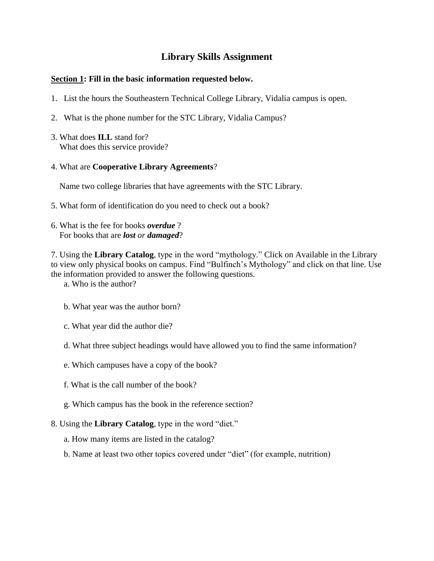## **Library Skills Assignment**

## **Section 1: Fill in the basic information requested below.**

- 1. List the hours the Southeastern Technical College Library, Vidalia campus is open.
- 2. What is the phone number for the STC Library, Vidalia Campus?
- 3. What does **ILL** stand for? What does this service provide?
- 4. What are **Cooperative Library Agreements**?

Name two college libraries that have agreements with the STC Library.

- 5. What form of identification do you need to check out a book?
- 6. What is the fee for books *overdue* ? For books that are *lost or damaged*?

7. Using the **Library Catalog**, type in the word "mythology." Click on Available in the Library to view only physical books on campus. Find "Bulfinch's Mythology" and click on that line. Use the information provided to answer the following questions.

a. Who is the author?

- b. What year was the author born?
- c. What year did the author die?
- d. What three subject headings would have allowed you to find the same information?
- e. Which campuses have a copy of the book?
- f. What is the call number of the book?
- g. Which campus has the book in the reference section?
- 8. Using the **Library Catalog**, type in the word "diet."
	- a. How many items are listed in the catalog?
	- b. Name at least two other topics covered under "diet" (for example, nutrition)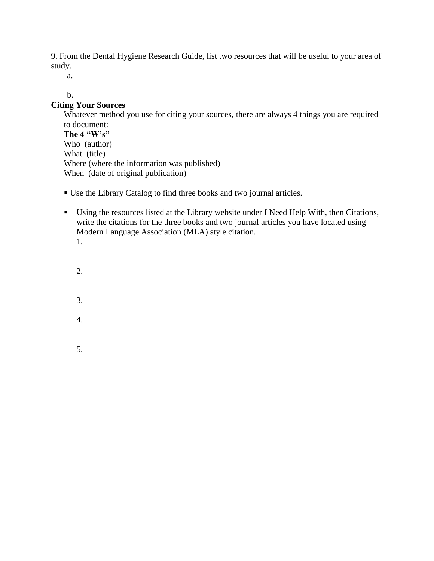9. From the Dental Hygiene Research Guide, list two resources that will be useful to your area of study.

a.

## b.

## **Citing Your Sources**

Whatever method you use for citing your sources, there are always 4 things you are required to document: **The 4 "W's"** Who (author) What (title) Where (where the information was published) When (date of original publication)

- Use the Library Catalog to find three books and two journal articles.
- Using the resources listed at the Library website under I Need Help With, then Citations, write the citations for the three books and two journal articles you have located using Modern Language Association (MLA) style citation. 1.
	- 2.
	-
	- 3.
	- 4.
	- 5.